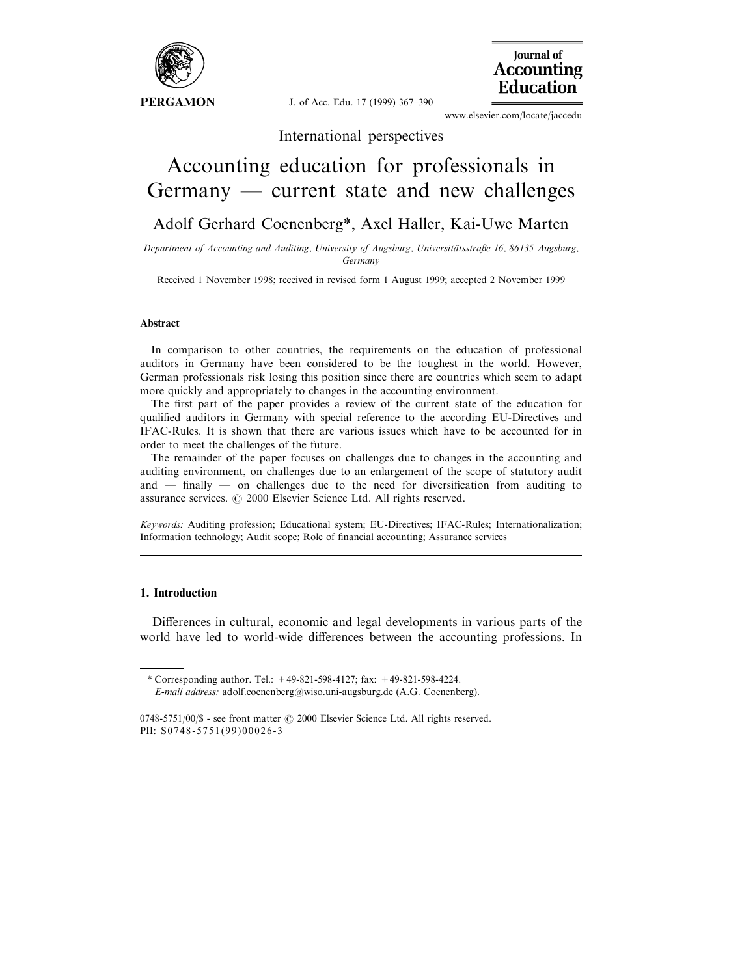

J. of Acc. Edu. 17 (1999) 367-390



www.elsevier.com/locate/jaccedu

International perspectives

# Accounting education for professionals in  $Germany$  — current state and new challenges

### Adolf Gerhard Coenenberg\*, Axel Haller, Kai-Uwe Marten

Department of Accounting and Auditing, University of Augsburg, Universitätsstraße 16, 86135 Augsburg, Germany

Received 1 November 1998; received in revised form 1 August 1999; accepted 2 November 1999

#### Abstract

In comparison to other countries, the requirements on the education of professional auditors in Germany have been considered to be the toughest in the world. However, German professionals risk losing this position since there are countries which seem to adapt more quickly and appropriately to changes in the accounting environment.

The first part of the paper provides a review of the current state of the education for qualified auditors in Germany with special reference to the according EU-Directives and IFAC-Rules. It is shown that there are various issues which have to be accounted for in order to meet the challenges of the future.

The remainder of the paper focuses on challenges due to changes in the accounting and auditing environment, on challenges due to an enlargement of the scope of statutory audit and  $\overline{\phantom{a}}$  finally  $\overline{\phantom{a}}$  on challenges due to the need for diversification from auditing to assurance services.  $\odot$  2000 Elsevier Science Ltd. All rights reserved.

Keywords: Auditing profession; Educational system; EU-Directives; IFAC-Rules; Internationalization; Information technology; Audit scope; Role of financial accounting; Assurance services

#### 1. Introduction

Differences in cultural, economic and legal developments in various parts of the world have led to world-wide differences between the accounting professions. In

<sup>\*</sup> Corresponding author. Tel.: +49-821-598-4127; fax: +49-821-598-4224. E-mail address: adolf.coenenberg@wiso.uni-augsburg.de (A.G. Coenenberg).

 $0748-5751/00$ /\$ - see front matter  $\odot$  2000 Elsevier Science Ltd. All rights reserved. PII: S0748-5751(99)00026-3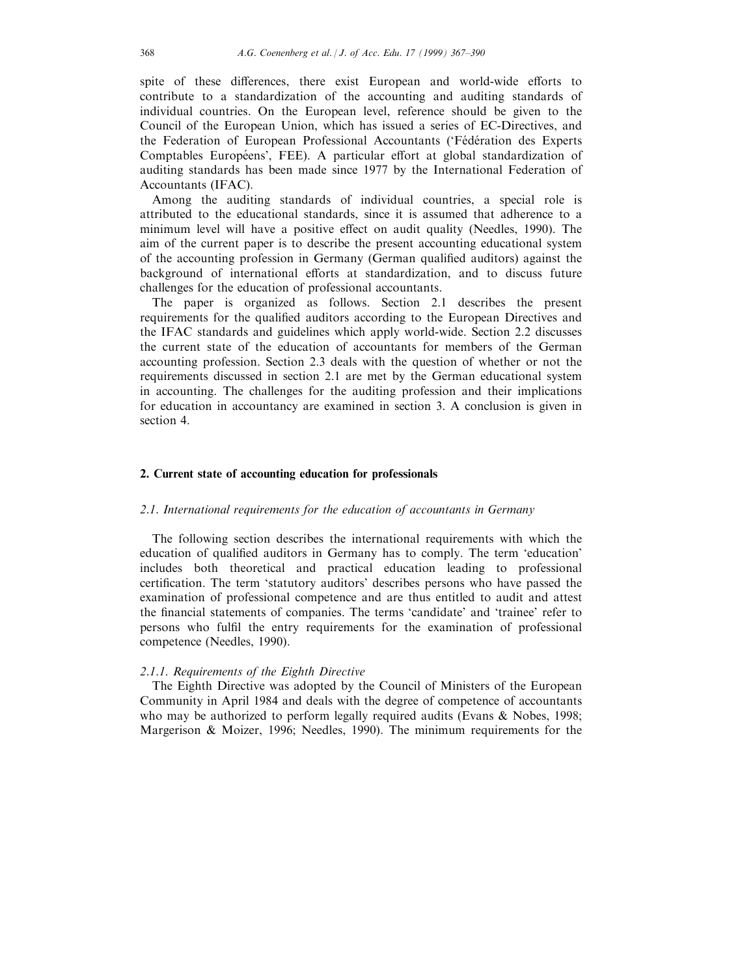spite of these differences, there exist European and world-wide efforts to contribute to a standardization of the accounting and auditing standards of individual countries. On the European level, reference should be given to the Council of the European Union, which has issued a series of EC-Directives, and the Federation of European Professional Accountants ('Fédération des Experts Comptables Européens', FEE). A particular effort at global standardization of auditing standards has been made since 1977 by the International Federation of Accountants (IFAC).

Among the auditing standards of individual countries, a special role is attributed to the educational standards, since it is assumed that adherence to a minimum level will have a positive effect on audit quality (Needles, 1990). The aim of the current paper is to describe the present accounting educational system of the accounting profession in Germany (German qualified auditors) against the background of international efforts at standardization, and to discuss future challenges for the education of professional accountants.

The paper is organized as follows. Section 2.1 describes the present requirements for the qualified auditors according to the European Directives and the IFAC standards and guidelines which apply world-wide. Section 2.2 discusses the current state of the education of accountants for members of the German accounting profession. Section 2.3 deals with the question of whether or not the requirements discussed in section 2.1 are met by the German educational system in accounting. The challenges for the auditing profession and their implications for education in accountancy are examined in section 3. A conclusion is given in section 4.

#### 2. Current state of accounting education for professionals

#### 2.1. International requirements for the education of accountants in Germany

The following section describes the international requirements with which the education of qualified auditors in Germany has to comply. The term 'education' includes both theoretical and practical education leading to professional certification. The term 'statutory auditors' describes persons who have passed the examination of professional competence and are thus entitled to audit and attest the financial statements of companies. The terms 'candidate' and 'trainee' refer to persons who fulfil the entry requirements for the examination of professional competence (Needles, 1990).

#### 2.1.1. Requirements of the Eighth Directive

The Eighth Directive was adopted by the Council of Ministers of the European Community in April 1984 and deals with the degree of competence of accountants who may be authorized to perform legally required audits (Evans & Nobes, 1998; Margerison & Moizer, 1996; Needles, 1990). The minimum requirements for the